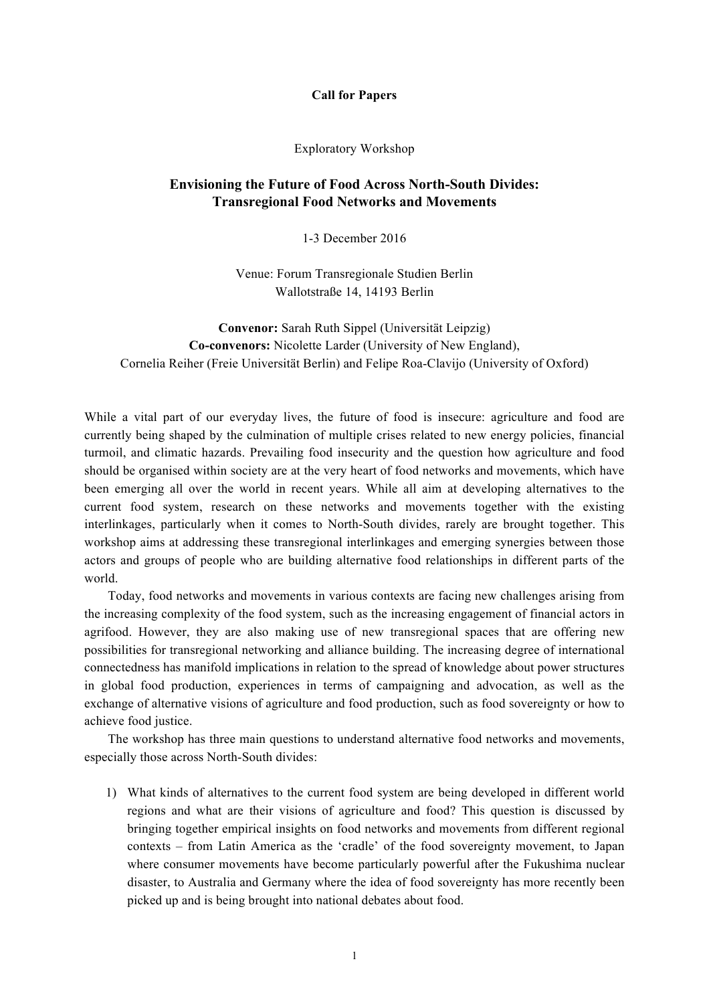## **Call for Papers**

Exploratory Workshop

## **Envisioning the Future of Food Across North-South Divides: Transregional Food Networks and Movements**

1-3 December 2016

Venue: Forum Transregionale Studien Berlin Wallotstraße 14, 14193 Berlin

**Convenor:** Sarah Ruth Sippel (Universität Leipzig) **Co-convenors:** Nicolette Larder (University of New England), Cornelia Reiher (Freie Universität Berlin) and Felipe Roa-Clavijo (University of Oxford)

While a vital part of our everyday lives, the future of food is insecure: agriculture and food are currently being shaped by the culmination of multiple crises related to new energy policies, financial turmoil, and climatic hazards. Prevailing food insecurity and the question how agriculture and food should be organised within society are at the very heart of food networks and movements, which have been emerging all over the world in recent years. While all aim at developing alternatives to the current food system, research on these networks and movements together with the existing interlinkages, particularly when it comes to North-South divides, rarely are brought together. This workshop aims at addressing these transregional interlinkages and emerging synergies between those actors and groups of people who are building alternative food relationships in different parts of the world.

Today, food networks and movements in various contexts are facing new challenges arising from the increasing complexity of the food system, such as the increasing engagement of financial actors in agrifood. However, they are also making use of new transregional spaces that are offering new possibilities for transregional networking and alliance building. The increasing degree of international connectedness has manifold implications in relation to the spread of knowledge about power structures in global food production, experiences in terms of campaigning and advocation, as well as the exchange of alternative visions of agriculture and food production, such as food sovereignty or how to achieve food justice.

The workshop has three main questions to understand alternative food networks and movements, especially those across North-South divides:

1) What kinds of alternatives to the current food system are being developed in different world regions and what are their visions of agriculture and food? This question is discussed by bringing together empirical insights on food networks and movements from different regional contexts – from Latin America as the 'cradle' of the food sovereignty movement, to Japan where consumer movements have become particularly powerful after the Fukushima nuclear disaster, to Australia and Germany where the idea of food sovereignty has more recently been picked up and is being brought into national debates about food.